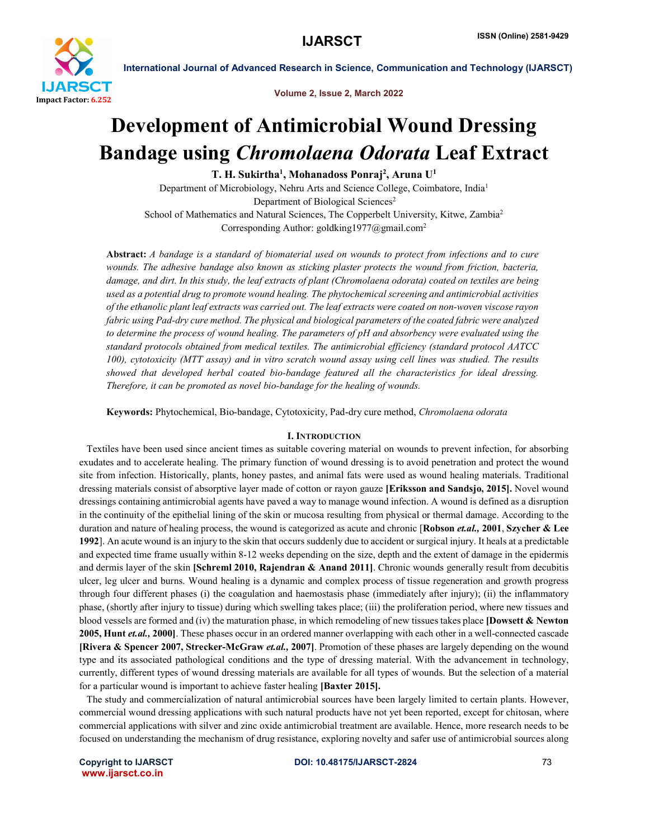

Volume 2, Issue 2, March 2022

# Development of Antimicrobial Wound Dressing Bandage using *Chromolaena Odorata* Leaf Extract

T. H. Sukirtha<sup>1</sup>, Mohanadoss Ponraj<sup>2</sup>, Aruna U<sup>1</sup>

Department of Microbiology, Nehru Arts and Science College, Coimbatore, India1 Department of Biological Sciences<sup>2</sup> School of Mathematics and Natural Sciences, The Copperbelt University, Kitwe, Zambia<sup>2</sup> Corresponding Author: goldking1977@gmail.com2

Abstract: *A bandage is a standard of biomaterial used on wounds to protect from infections and to cure wounds. The adhesive bandage also known as sticking plaster protects the wound from friction, bacteria, damage, and dirt. In this study, the leaf extracts of plant (Chromolaena odorata) coated on textiles are being used as a potential drug to promote wound healing. The phytochemical screening and antimicrobial activities of the ethanolic plant leaf extracts was carried out. The leaf extracts were coated on non-woven viscose rayon fabric using Pad-dry cure method. The physical and biological parameters of the coated fabric were analyzed to determine the process of wound healing. The parameters of pH and absorbency were evaluated using the standard protocols obtained from medical textiles. The antimicrobial efficiency (standard protocol AATCC 100), cytotoxicity (MTT assay) and in vitro scratch wound assay using cell lines was studied. The results showed that developed herbal coated bio-bandage featured all the characteristics for ideal dressing. Therefore, it can be promoted as novel bio-bandage for the healing of wounds.*

Keywords: Phytochemical, Bio-bandage, Cytotoxicity, Pad-dry cure method, *Chromolaena odorata*

#### I. INTRODUCTION

 Textiles have been used since ancient times as suitable covering material on wounds to prevent infection, for absorbing exudates and to accelerate healing. The primary function of wound dressing is to avoid penetration and protect the wound site from infection. Historically, plants, honey pastes, and animal fats were used as wound healing materials. Traditional dressing materials consist of absorptive layer made of cotton or rayon gauze [Eriksson and Sandsjo, 2015]. Novel wound dressings containing antimicrobial agents have paved a way to manage wound infection. A wound is defined as a disruption in the continuity of the epithelial lining of the skin or mucosa resulting from physical or thermal damage. According to the duration and nature of healing process, the wound is categorized as acute and chronic [Robson *et.al.,* 2001, Szycher & Lee 1992]. An acute wound is an injury to the skin that occurs suddenly due to accident or surgical injury. It heals at a predictable and expected time frame usually within 8-12 weeks depending on the size, depth and the extent of damage in the epidermis and dermis layer of the skin [Schreml 2010, Rajendran & Anand 2011]. Chronic wounds generally result from decubitis ulcer, leg ulcer and burns. Wound healing is a dynamic and complex process of tissue regeneration and growth progress through four different phases (i) the coagulation and haemostasis phase (immediately after injury); (ii) the inflammatory phase, (shortly after injury to tissue) during which swelling takes place; (iii) the proliferation period, where new tissues and blood vessels are formed and (iv) the maturation phase, in which remodeling of new tissues takes place **[Dowsett & Newton** 2005, Hunt *et.al.,* 2000]. These phases occur in an ordered manner overlapping with each other in a well-connected cascade [Rivera & Spencer 2007, Strecker-McGraw *et.al.,* 2007]. Promotion of these phases are largely depending on the wound type and its associated pathological conditions and the type of dressing material. With the advancement in technology, currently, different types of wound dressing materials are available for all types of wounds. But the selection of a material for a particular wound is important to achieve faster healing [Baxter 2015].

 The study and commercialization of natural antimicrobial sources have been largely limited to certain plants. However, commercial wound dressing applications with such natural products have not yet been reported, except for chitosan, where commercial applications with silver and zinc oxide antimicrobial treatment are available. Hence, more research needs to be focused on understanding the mechanism of drug resistance, exploring novelty and safer use of antimicrobial sources along

www.ijarsct.co.in

Copyright to IJARSCT DOI: 10.48175/IJARSCT-2824 73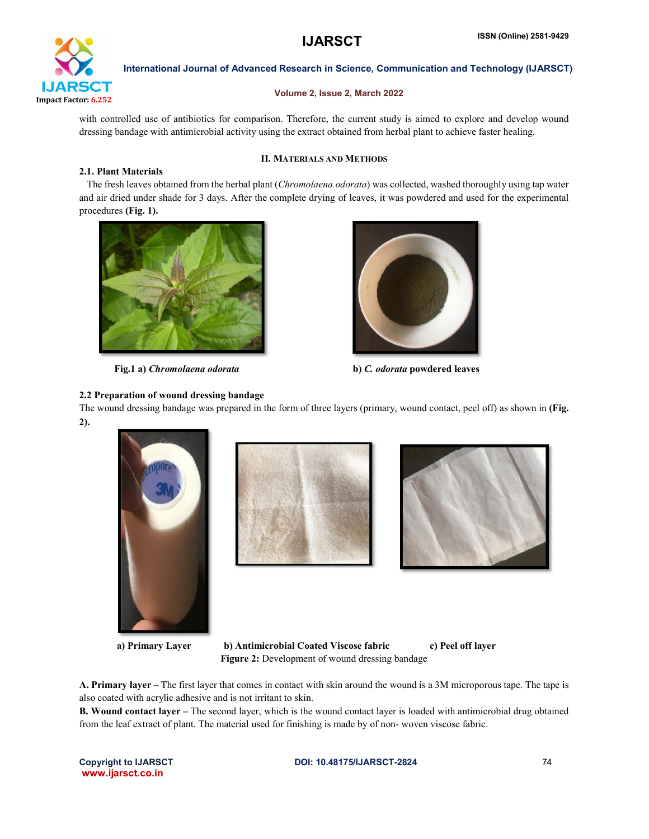

# Volume 2, Issue 2, March 2022

with controlled use of antibiotics for comparison. Therefore, the current study is aimed to explore and develop wound dressing bandage with antimicrobial activity using the extract obtained from herbal plant to achieve faster healing.

# 2.1. Plant Materials

# II. MATERIALS AND METHODS

 The fresh leaves obtained from the herbal plant (*Chromolaena.odorata*) was collected, washed thoroughly using tap water and air dried under shade for 3 days. After the complete drying of leaves, it was powdered and used for the experimental procedures (Fig. 1).



#### 2.2 Preparation of wound dressing bandage

Fig.1 a) *Chromolaena odorata* b) *C. odorata* powdered leaves

The wound dressing bandage was prepared in the form of three layers (primary, wound contact, peel off) as shown in (Fig. 2).





 a) Primary Layer b) Antimicrobial Coated Viscose fabric c) Peel off layer Figure 2: Development of wound dressing bandage

A. Primary layer – The first layer that comes in contact with skin around the wound is a 3M microporous tape. The tape is also coated with acrylic adhesive and is not irritant to skin.

B. Wound contact layer – The second layer, which is the wound contact layer is loaded with antimicrobial drug obtained from the leaf extract of plant. The material used for finishing is made by of non- woven viscose fabric.

www.ijarsct.co.in

Copyright to IJARSCT **DOI: 10.48175/IJARSCT-2824** 74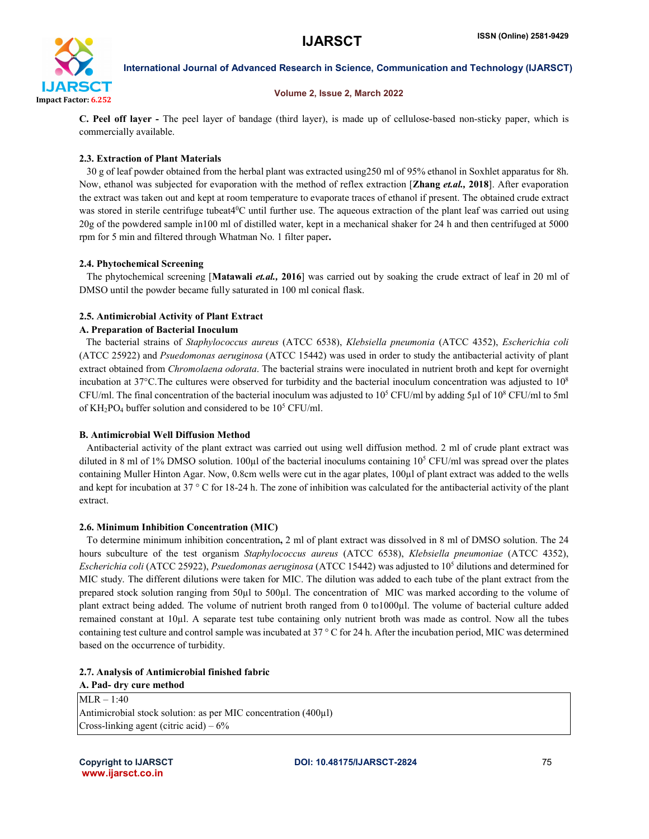

# Volume 2, Issue 2, March 2022

C. Peel off layer - The peel layer of bandage (third layer), is made up of cellulose-based non-sticky paper, which is commercially available.

# 2.3. Extraction of Plant Materials

 30 g of leaf powder obtained from the herbal plant was extracted using250 ml of 95% ethanol in Soxhlet apparatus for 8h. Now, ethanol was subjected for evaporation with the method of reflex extraction [Zhang *et.al.,* 2018]. After evaporation the extract was taken out and kept at room temperature to evaporate traces of ethanol if present. The obtained crude extract was stored in sterile centrifuge tubeat4<sup>0</sup>C until further use. The aqueous extraction of the plant leaf was carried out using 20g of the powdered sample in100 ml of distilled water, kept in a mechanical shaker for 24 h and then centrifuged at 5000 rpm for 5 min and filtered through Whatman No. 1 filter paper.

# 2.4. Phytochemical Screening

 The phytochemical screening [Matawali *et.al.,* 2016] was carried out by soaking the crude extract of leaf in 20 ml of DMSO until the powder became fully saturated in 100 ml conical flask.

# 2.5. Antimicrobial Activity of Plant Extract

# A. Preparation of Bacterial Inoculum

 The bacterial strains of *Staphylococcus aureus* (ATCC 6538), *Klebsiella pneumonia* (ATCC 4352), *Escherichia coli*  (ATCC 25922) and *Psuedomonas aeruginosa* (ATCC 15442) was used in order to study the antibacterial activity of plant extract obtained from *Chromolaena odorata*. The bacterial strains were inoculated in nutrient broth and kept for overnight incubation at  $37^{\circ}$ C. The cultures were observed for turbidity and the bacterial inoculum concentration was adjusted to  $10^8$ CFU/ml. The final concentration of the bacterial inoculum was adjusted to  $10^5$  CFU/ml by adding 5µl of  $10^8$  CFU/ml to 5ml of  $KH_2PO_4$  buffer solution and considered to be  $10^5$  CFU/ml.

# B. Antimicrobial Well Diffusion Method

 Antibacterial activity of the plant extract was carried out using well diffusion method. 2 ml of crude plant extract was diluted in 8 ml of 1% DMSO solution. 100 $\mu$ l of the bacterial inoculums containing 10<sup>5</sup> CFU/ml was spread over the plates containing Muller Hinton Agar. Now, 0.8cm wells were cut in the agar plates, 100µl of plant extract was added to the wells and kept for incubation at 37 ° C for 18-24 h. The zone of inhibition was calculated for the antibacterial activity of the plant extract.

# 2.6. Minimum Inhibition Concentration (MIC)

 To determine minimum inhibition concentration, 2 ml of plant extract was dissolved in 8 ml of DMSO solution. The 24 hours subculture of the test organism *Staphylococcus aureus* (ATCC 6538), *Klebsiella pneumoniae* (ATCC 4352), *Escherichia coli* (ATCC 25922), *Psuedomonas aeruginosa* (ATCC 15442) was adjusted to 10<sup>5</sup> dilutions and determined for MIC study. The different dilutions were taken for MIC. The dilution was added to each tube of the plant extract from the prepared stock solution ranging from 50µl to 500µl. The concentration of MIC was marked according to the volume of plant extract being added. The volume of nutrient broth ranged from 0 to1000µl. The volume of bacterial culture added remained constant at 10µl. A separate test tube containing only nutrient broth was made as control. Now all the tubes containing test culture and control sample was incubated at 37 ° C for 24 h. After the incubation period, MIC was determined based on the occurrence of turbidity.

# 2.7. Analysis of Antimicrobial finished fabric

A. Pad- dry cure method MLR – 1:40 Antimicrobial stock solution: as per MIC concentration (400µl) Cross-linking agent (citric acid)  $-6\%$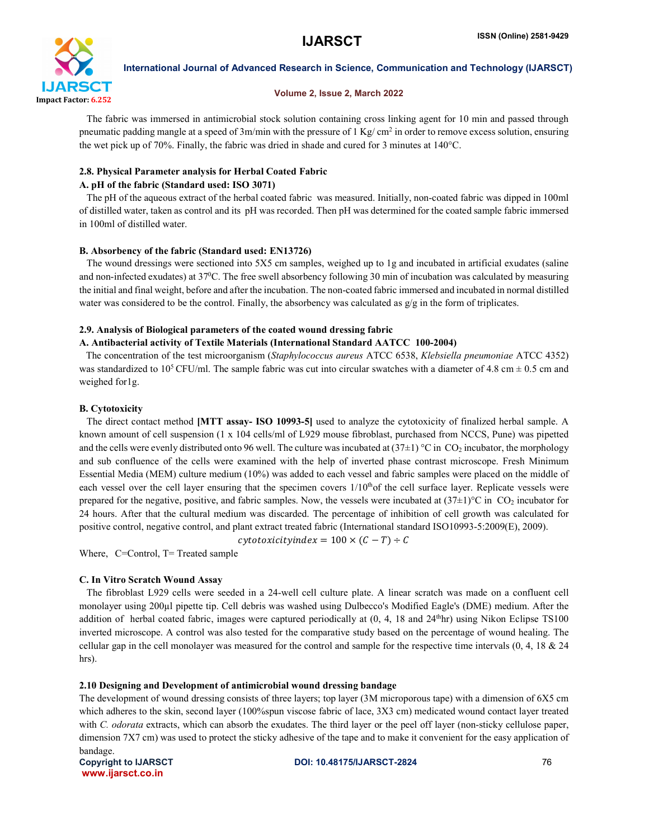

#### Volume 2, Issue 2, March 2022

 The fabric was immersed in antimicrobial stock solution containing cross linking agent for 10 min and passed through pneumatic padding mangle at a speed of 3m/min with the pressure of  $1 \text{ Kg/cm}^2$  in order to remove excess solution, ensuring the wet pick up of 70%. Finally, the fabric was dried in shade and cured for 3 minutes at 140°C.

# 2.8. Physical Parameter analysis for Herbal Coated Fabric

# A. pH of the fabric (Standard used: ISO 3071)

 The pH of the aqueous extract of the herbal coated fabric was measured. Initially, non-coated fabric was dipped in 100ml of distilled water, taken as control and its pH was recorded. Then pH was determined for the coated sample fabric immersed in 100ml of distilled water.

# B. Absorbency of the fabric (Standard used: EN13726)

 The wound dressings were sectioned into 5X5 cm samples, weighed up to 1g and incubated in artificial exudates (saline and non-infected exudates) at  $37^0$ C. The free swell absorbency following 30 min of incubation was calculated by measuring the initial and final weight, before and after the incubation. The non-coated fabric immersed and incubated in normal distilled water was considered to be the control. Finally, the absorbency was calculated as  $g/g$  in the form of triplicates.

# 2.9. Analysis of Biological parameters of the coated wound dressing fabric

#### A. Antibacterial activity of Textile Materials (International Standard AATCC 100-2004)

 The concentration of the test microorganism (*Staphylococcus aureus* ATCC 6538, *Klebsiella pneumoniae* ATCC 4352) was standardized to 10<sup>5</sup> CFU/ml. The sample fabric was cut into circular swatches with a diameter of 4.8 cm  $\pm$  0.5 cm and weighed for1g.

# B. Cytotoxicity

 The direct contact method [MTT assay- ISO 10993-5] used to analyze the cytotoxicity of finalized herbal sample. A known amount of cell suspension (1 x 104 cells/ml of L929 mouse fibroblast, purchased from NCCS, Pune) was pipetted and the cells were evenly distributed onto 96 well. The culture was incubated at  $(37\pm1)$  °C in CO<sub>2</sub> incubator, the morphology and sub confluence of the cells were examined with the help of inverted phase contrast microscope. Fresh Minimum Essential Media (MEM) culture medium (10%) was added to each vessel and fabric samples were placed on the middle of each vessel over the cell layer ensuring that the specimen covers  $1/10<sup>th</sup>$  of the cell surface layer. Replicate vessels were prepared for the negative, positive, and fabric samples. Now, the vessels were incubated at  $(37\pm1)$ °C in CO<sub>2</sub> incubator for 24 hours. After that the cultural medium was discarded. The percentage of inhibition of cell growth was calculated for positive control, negative control, and plant extract treated fabric (International standard ISO10993-5:2009(E), 2009).

 $cy to toxicity index = 100 \times (C - T) \div C$ 

Where, C=Control, T= Treated sample

# C. In Vitro Scratch Wound Assay

 The fibroblast L929 cells were seeded in a 24-well cell culture plate. A linear scratch was made on a confluent cell monolayer using 200µl pipette tip. Cell debris was washed using Dulbecco's Modified Eagle's (DME) medium. After the addition of herbal coated fabric, images were captured periodically at (0, 4, 18 and 24thhr) using Nikon Eclipse TS100 inverted microscope. A control was also tested for the comparative study based on the percentage of wound healing. The cellular gap in the cell monolayer was measured for the control and sample for the respective time intervals (0, 4, 18 & 24 hrs).

# 2.10 Designing and Development of antimicrobial wound dressing bandage

The development of wound dressing consists of three layers; top layer (3M microporous tape) with a dimension of 6X5 cm which adheres to the skin, second layer (100%spun viscose fabric of lace, 3X3 cm) medicated wound contact layer treated with *C. odorata* extracts, which can absorb the exudates. The third layer or the peel off layer (non-sticky cellulose paper, dimension 7X7 cm) was used to protect the sticky adhesive of the tape and to make it convenient for the easy application of bandage.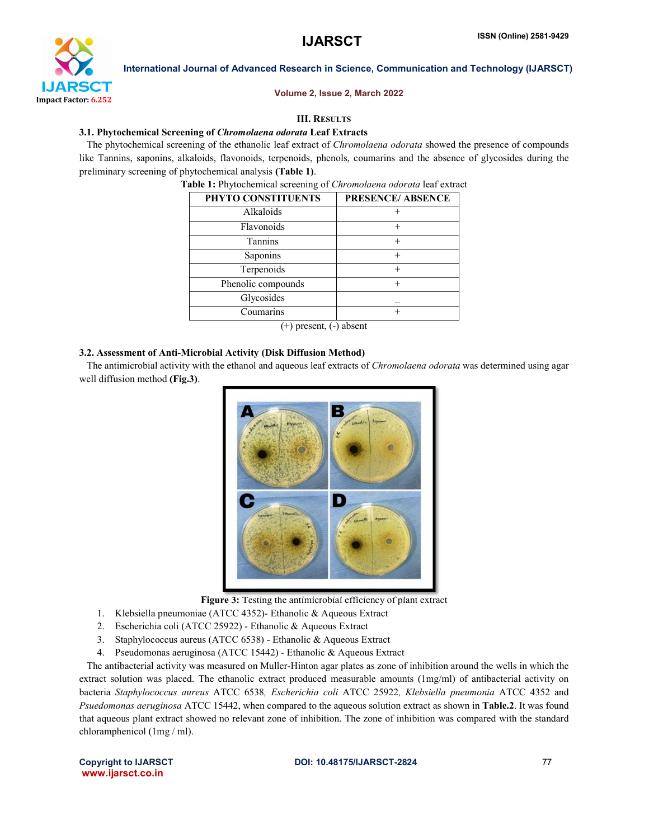

#### Volume 2, Issue 2, March 2022

# III. RESULTS

#### 3.1. Phytochemical Screening of *Chromolaena odorata* Leaf Extracts

 The phytochemical screening of the ethanolic leaf extract of *Chromolaena odorata* showed the presence of compounds like Tannins, saponins, alkaloids, flavonoids, terpenoids, phenols, coumarins and the absence of glycosides during the preliminary screening of phytochemical analysis (Table 1).

Table 1: Phytochemical screening of *Chromolaena odorata* leaf extract

| PHYTO CONSTITUENTS | <b>PRESENCE/ ABSENCE</b> |
|--------------------|--------------------------|
| Alkaloids          |                          |
| Flavonoids         | $^{+}$                   |
| <b>Tannins</b>     | $^{+}$                   |
| Saponins           | $^{+}$                   |
| Terpenoids         | $^{+}$                   |
| Phenolic compounds | $^{+}$                   |
| Glycosides         |                          |
| Coumarins          |                          |

(+) present, (-) absent

#### 3.2. Assessment of Anti-Microbial Activity (Disk Diffusion Method)

 The antimicrobial activity with the ethanol and aqueous leaf extracts of *Chromolaena odorata* was determined using agar well diffusion method (Fig.3).



Figure 3: Testing the antimicrobial efficiency of plant extract

- 1. Klebsiella pneumoniae (ATCC 4352)- Ethanolic & Aqueous Extract
- 2. Escherichia coli (ATCC 25922) Ethanolic & Aqueous Extract
- 3. Staphylococcus aureus (ATCC 6538) Ethanolic & Aqueous Extract
- 4. Pseudomonas aeruginosa (ATCC 15442) Ethanolic & Aqueous Extract

 The antibacterial activity was measured on Muller-Hinton agar plates as zone of inhibition around the wells in which the extract solution was placed. The ethanolic extract produced measurable amounts (1mg/ml) of antibacterial activity on bacteria *Staphylococcus aureus* ATCC 6538*, Escherichia coli* ATCC 25922*, Klebsiella pneumonia* ATCC 4352 and *Psuedomonas aeruginosa* ATCC 15442, when compared to the aqueous solution extract as shown in Table.2. It was found that aqueous plant extract showed no relevant zone of inhibition. The zone of inhibition was compared with the standard chloramphenicol (1mg / ml).

www.ijarsct.co.in

# Copyright to IJARSCT **DOI: 10.48175/IJARSCT-2824** 77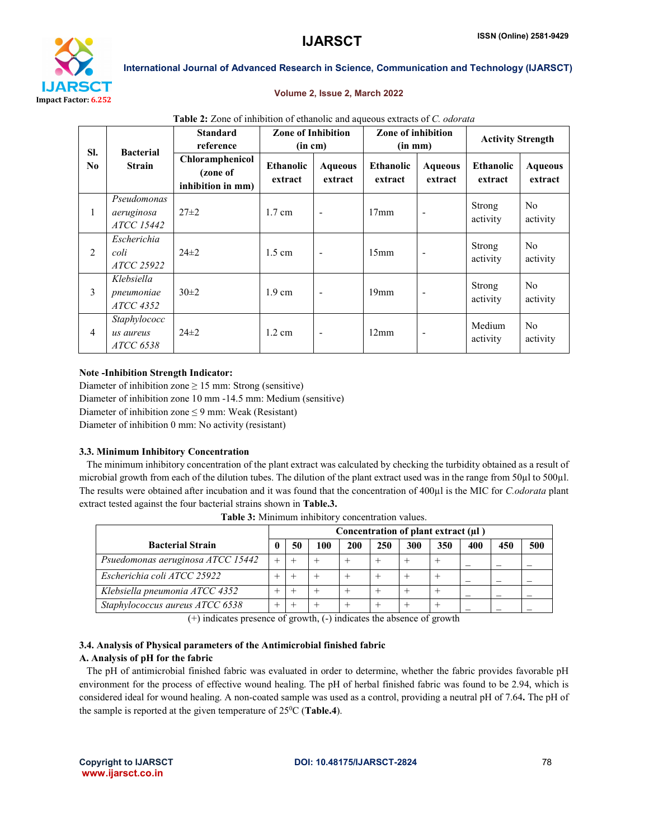

#### Volume 2, Issue 2, March 2022

| SI.            | <b>Bacterial</b>                               | <b>Standard</b><br>reference                     | <b>Zone of Inhibition</b><br>(in cm) |                           | Zone of inhibition<br>(in m <sub>m</sub> ) |                           | <b>Activity Strength</b>    |                            |
|----------------|------------------------------------------------|--------------------------------------------------|--------------------------------------|---------------------------|--------------------------------------------|---------------------------|-----------------------------|----------------------------|
| N <sub>0</sub> | <b>Strain</b>                                  | Chloramphenicol<br>(zone of<br>inhibition in mm) | <b>Ethanolic</b><br>extract          | <b>Aqueous</b><br>extract | <b>Ethanolic</b><br>extract                | <b>Aqueous</b><br>extract | <b>Ethanolic</b><br>extract | <b>Aqueous</b><br>extract  |
| $\mathbf{1}$   | Pseudomonas<br>aeruginosa<br><i>ATCC 15442</i> | $27 \pm 2$                                       | $1.7 \text{ cm}$                     | $\overline{\phantom{0}}$  | 17mm                                       | ٠                         | Strong<br>activity          | N <sub>0</sub><br>activity |
| 2              | Escherichia<br>coli<br><b>ATCC 25922</b>       | $24\pm 2$                                        | $1.5 \text{ cm}$                     | $\overline{\phantom{a}}$  | 15mm                                       | ٠                         | Strong<br>activity          | N <sub>0</sub><br>activity |
| 3              | Klebsiella<br>pneumoniae<br><b>ATCC 4352</b>   | $30+2$                                           | $1.9 \text{ cm}$                     | $\qquad \qquad -$         | 19mm                                       | ۰                         | Strong<br>activity          | N <sub>0</sub><br>activity |
| $\overline{4}$ | Staphylococc<br>us aureus<br><i>ATCC 6538</i>  | $24\pm 2$                                        | $1.2 \text{ cm}$                     | $\overline{\phantom{a}}$  | 12mm                                       | ٠                         | Medium<br>activity          | N <sub>0</sub><br>activity |

#### Table 2: Zone of inhibition of ethanolic and aqueous extracts of *C. odorata*

#### Note -Inhibition Strength Indicator:

Diameter of inhibition zone  $\geq 15$  mm: Strong (sensitive) Diameter of inhibition zone 10 mm -14.5 mm: Medium (sensitive) Diameter of inhibition zone  $\leq$  9 mm: Weak (Resistant) Diameter of inhibition 0 mm: No activity (resistant)

# 3.3. Minimum Inhibitory Concentration

 The minimum inhibitory concentration of the plant extract was calculated by checking the turbidity obtained as a result of microbial growth from each of the dilution tubes. The dilution of the plant extract used was in the range from 50 $\mu$ l to 500 $\mu$ l. The results were obtained after incubation and it was found that the concentration of 400µl is the MIC for *C.odorata* plant extract tested against the four bacterial strains shown in Table.3.

|                                   | Concentration of plant extract $(\mu I)$ |    |     |     |            |     |     |     |     |     |
|-----------------------------------|------------------------------------------|----|-----|-----|------------|-----|-----|-----|-----|-----|
| <b>Bacterial Strain</b>           |                                          | 50 | 100 | 200 | <b>250</b> | 300 | 350 | 400 | 450 | 500 |
| Psuedomonas aeruginosa ATCC 15442 | $+$                                      |    |     |     |            |     |     |     |     |     |
| Escherichia coli ATCC 25922       | $+$                                      |    |     |     |            |     |     |     |     |     |
| Klebsiella pneumonia ATCC 4352    |                                          |    |     |     |            |     |     |     |     |     |
| Staphylococcus aureus ATCC 6538   |                                          |    |     |     |            |     |     |     |     |     |

Table 3: Minimum inhibitory concentration values.

(+) indicates presence of growth, (-) indicates the absence of growth

# 3.4. Analysis of Physical parameters of the Antimicrobial finished fabric

#### A. Analysis of pH for the fabric

 $\Gamma$ 

 The pH of antimicrobial finished fabric was evaluated in order to determine, whether the fabric provides favorable pH environment for the process of effective wound healing. The pH of herbal finished fabric was found to be 2.94, which is considered ideal for wound healing. A non-coated sample was used as a control, providing a neutral pH of 7.64. The pH of the sample is reported at the given temperature of  $25^0C$  (Table.4).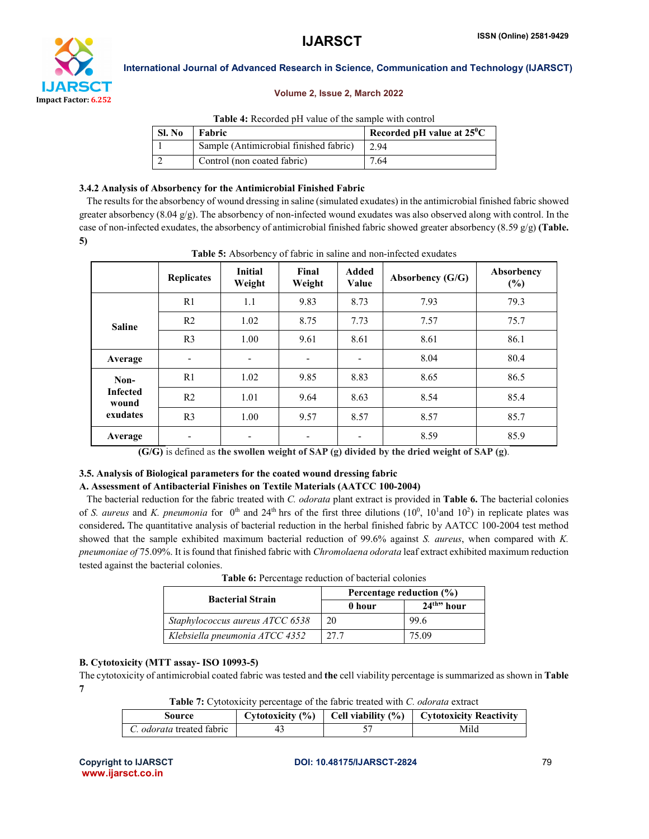

#### Volume 2, Issue 2, March 2022

| Table 4: Recorded pH value of the sample with control |
|-------------------------------------------------------|
|-------------------------------------------------------|

| Sl. No | Fabric                                 | Recorded pH value at $25^0C$ |
|--------|----------------------------------------|------------------------------|
|        | Sample (Antimicrobial finished fabric) | 2.94                         |
|        | Control (non coated fabric)            | 7.64                         |

#### 3.4.2 Analysis of Absorbency for the Antimicrobial Finished Fabric

 The results for the absorbency of wound dressing in saline (simulated exudates) in the antimicrobial finished fabric showed greater absorbency (8.04 g/g). The absorbency of non-infected wound exudates was also observed along with control. In the case of non-infected exudates, the absorbency of antimicrobial finished fabric showed greater absorbency  $(8.59 \text{ g/g})$  (Table. 5)

|                          | <b>Replicates</b>        | <b>Initial</b><br>Weight | Final<br>Weight          | Added<br>Value           | Absorbency (G/G) | Absorbency<br>(%) |
|--------------------------|--------------------------|--------------------------|--------------------------|--------------------------|------------------|-------------------|
|                          | R1                       | 1.1                      | 9.83                     | 8.73                     | 7.93             | 79.3              |
| <b>Saline</b>            | R <sub>2</sub>           | 1.02                     | 8.75                     | 7.73                     | 7.57             | 75.7              |
|                          | R <sub>3</sub>           | 1.00                     | 9.61                     | 8.61                     | 8.61             | 86.1              |
| Average                  |                          | $\overline{\phantom{a}}$ | $\overline{\phantom{0}}$ | ۰                        | 8.04             | 80.4              |
| Non-                     | R1                       | 1.02                     | 9.85                     | 8.83                     | 8.65             | 86.5              |
| <b>Infected</b><br>wound | R <sub>2</sub>           | 1.01                     | 9.64                     | 8.63                     | 8.54             | 85.4              |
| exudates                 | R <sub>3</sub>           | 1.00                     | 9.57                     | 8.57                     | 8.57             | 85.7              |
| Average                  | $\overline{\phantom{0}}$ | $\overline{\phantom{a}}$ | $\overline{\phantom{a}}$ | $\overline{\phantom{0}}$ | 8.59             | 85.9              |

Table 5: Absorbency of fabric in saline and non-infected exudates

(G/G) is defined as the swollen weight of SAP (g) divided by the dried weight of SAP (g).

# 3.5. Analysis of Biological parameters for the coated wound dressing fabric

#### A. Assessment of Antibacterial Finishes on Textile Materials (AATCC 100-2004)

 The bacterial reduction for the fabric treated with *C. odorata* plant extract is provided in Table 6. The bacterial colonies of *S. aureus* and *K. pneumonia* for  $0<sup>th</sup>$  and  $24<sup>th</sup>$  hrs of the first three dilutions  $(10<sup>0</sup>, 10<sup>1</sup>$  and  $10<sup>2</sup>)$  in replicate plates was considered. The quantitative analysis of bacterial reduction in the herbal finished fabric by AATCC 100-2004 test method showed that the sample exhibited maximum bacterial reduction of 99.6% against *S. aureus*, when compared with *K. pneumoniae of* 75.09%. It is found that finished fabric with *Chromolaena odorata* leaf extract exhibited maximum reduction tested against the bacterial colonies.

| <b>Bacterial Strain</b>         | Percentage reduction (%) |                         |  |  |  |
|---------------------------------|--------------------------|-------------------------|--|--|--|
|                                 | 0 hour                   | 24 <sup>th</sup> " hour |  |  |  |
| Staphylococcus aureus ATCC 6538 | 20                       | 99.6                    |  |  |  |
| Klebsiella pneumonia ATCC 4352  | 27.7                     | 75.09                   |  |  |  |

Table 6: Percentage reduction of bacterial colonies

# B. Cytotoxicity (MTT assay- ISO 10993-5)

The cytotoxicity of antimicrobial coated fabric was tested and the cell viability percentage is summarized as shown in Table 7

Table 7: Cytotoxicity percentage of the fabric treated with *C. odorata* extract

| Source                           |  | Cytotoxicity $(\%)$   Cell viability $(\%)$   Cytotoxicity Reactivity |
|----------------------------------|--|-----------------------------------------------------------------------|
| C. <i>odorata</i> treated fabric |  | Mild                                                                  |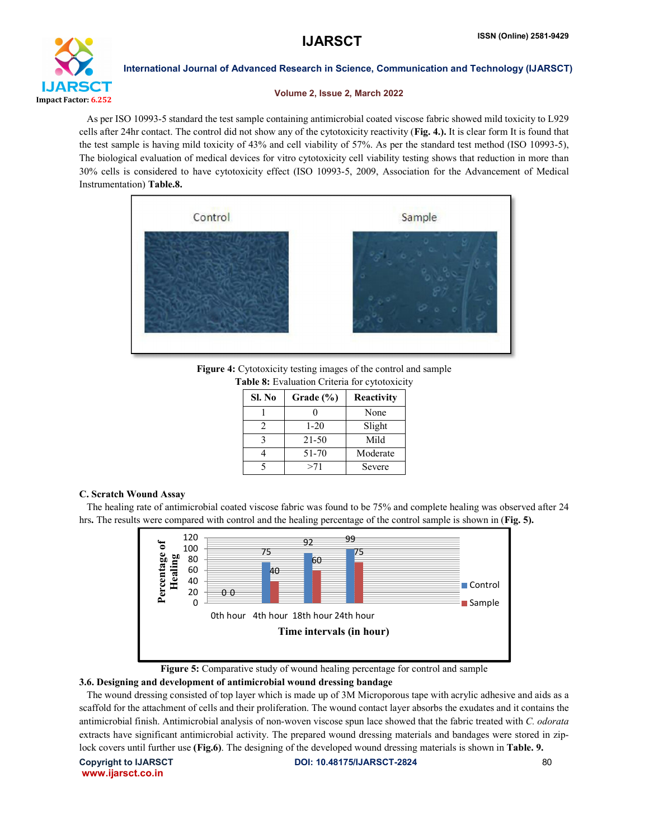

# Volume 2, Issue 2, March 2022

 As per ISO 10993-5 standard the test sample containing antimicrobial coated viscose fabric showed mild toxicity to L929 cells after 24hr contact. The control did not show any of the cytotoxicity reactivity (Fig. 4.). It is clear form It is found that the test sample is having mild toxicity of 43% and cell viability of 57%. As per the standard test method (ISO 10993-5), The biological evaluation of medical devices for vitro cytotoxicity cell viability testing shows that reduction in more than 30% cells is considered to have cytotoxicity effect (ISO 10993-5, 2009, Association for the Advancement of Medical Instrumentation) Table.8.



Figure 4: Cytotoxicity testing images of the control and sample Table 8: Evaluation Criteria for cytotoxicity

| Sl. No | Grade (%) | Reactivity |
|--------|-----------|------------|
|        |           | None       |
|        | $1 - 20$  | Slight     |
|        | 21-50     | Mild       |
|        | 51-70     | Moderate   |
|        | >71       | Severe     |

# C. Scratch Wound Assay

 The healing rate of antimicrobial coated viscose fabric was found to be 75% and complete healing was observed after 24 hrs. The results were compared with control and the healing percentage of the control sample is shown in (Fig. 5).



Figure 5: Comparative study of wound healing percentage for control and sample

# 3.6. Designing and development of antimicrobial wound dressing bandage

 The wound dressing consisted of top layer which is made up of 3M Microporous tape with acrylic adhesive and aids as a scaffold for the attachment of cells and their proliferation. The wound contact layer absorbs the exudates and it contains the antimicrobial finish. Antimicrobial analysis of non-woven viscose spun lace showed that the fabric treated with *C. odorata* extracts have significant antimicrobial activity. The prepared wound dressing materials and bandages were stored in ziplock covers until further use (Fig.6). The designing of the developed wound dressing materials is shown in Table. 9.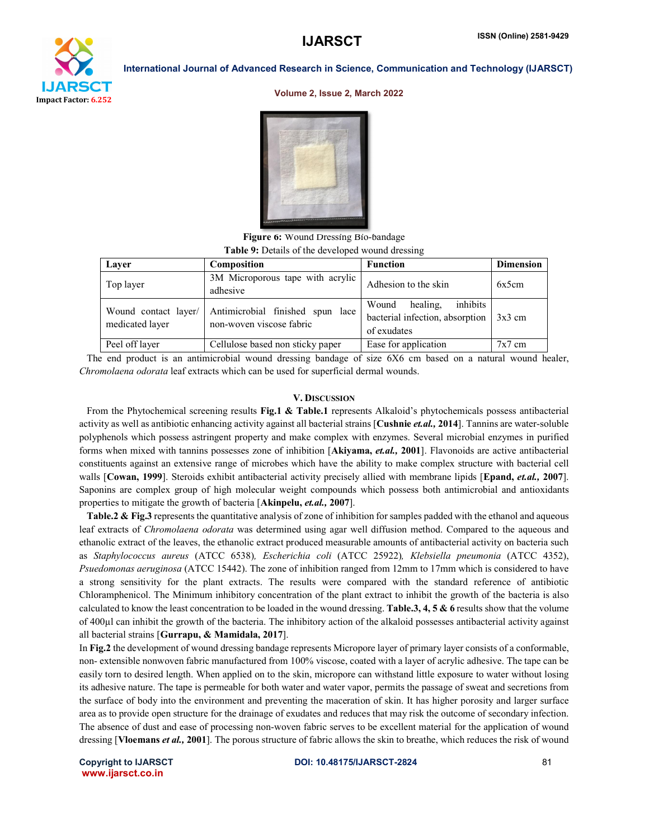

#### Volume 2, Issue 2, March 2022



Figure 6: Wound Dressing Bio-bandage

Table 9: Details of the developed wound dressing

| Laver                                   | Composition                                                  | <b>Function</b>                                                                 | <b>Dimension</b> |
|-----------------------------------------|--------------------------------------------------------------|---------------------------------------------------------------------------------|------------------|
| Top layer                               | 3M Microporous tape with acrylic<br>adhesive                 | Adhesion to the skin                                                            | 6x5cm            |
| Wound contact layer/<br>medicated layer | Antimicrobial finished spun lace<br>non-woven viscose fabric | inhibits<br>healing,<br>Wound<br>bacterial infection, absorption<br>of exudates | $3x3$ cm         |
| Peel off layer                          | Cellulose based non sticky paper                             | Ease for application                                                            | $7x7$ cm         |

 The end product is an antimicrobial wound dressing bandage of size 6X6 cm based on a natural wound healer, *Chromolaena odorata* leaf extracts which can be used for superficial dermal wounds.

#### V. DISCUSSION

From the Phytochemical screening results Fig.1 & Table.1 represents Alkaloid's phytochemicals possess antibacterial activity as well as antibiotic enhancing activity against all bacterial strains [Cushnie *et.al.,* 2014]. Tannins are water-soluble polyphenols which possess astringent property and make complex with enzymes. Several microbial enzymes in purified forms when mixed with tannins possesses zone of inhibition [Akiyama, *et.al.,* 2001]. Flavonoids are active antibacterial constituents against an extensive range of microbes which have the ability to make complex structure with bacterial cell walls [Cowan, 1999]. Steroids exhibit antibacterial activity precisely allied with membrane lipids [Epand, *et.al.,* 2007]. Saponins are complex group of high molecular weight compounds which possess both antimicrobial and antioxidants properties to mitigate the growth of bacteria [Akinpelu, *et.al.,* 2007].

Table.2 & Fig.3 represents the quantitative analysis of zone of inhibition for samples padded with the ethanol and aqueous leaf extracts of *Chromolaena odorata* was determined using agar well diffusion method. Compared to the aqueous and ethanolic extract of the leaves, the ethanolic extract produced measurable amounts of antibacterial activity on bacteria such as *Staphylococcus aureus* (ATCC 6538)*, Escherichia coli* (ATCC 25922)*, Klebsiella pneumonia* (ATCC 4352), *Psuedomonas aeruginosa* (ATCC 15442). The zone of inhibition ranged from 12mm to 17mm which is considered to have a strong sensitivity for the plant extracts. The results were compared with the standard reference of antibiotic Chloramphenicol. The Minimum inhibitory concentration of the plant extract to inhibit the growth of the bacteria is also calculated to know the least concentration to be loaded in the wound dressing. **Table.3, 4, 5 & 6** results show that the volume of 400µl can inhibit the growth of the bacteria. The inhibitory action of the alkaloid possesses antibacterial activity against all bacterial strains [Gurrapu, & Mamidala, 2017].

In Fig.2 the development of wound dressing bandage represents Micropore layer of primary layer consists of a conformable, non- extensible nonwoven fabric manufactured from 100% viscose, coated with a layer of acrylic adhesive. The tape can be easily torn to desired length. When applied on to the skin, micropore can withstand little exposure to water without losing its adhesive nature. The tape is permeable for both water and water vapor, permits the passage of sweat and secretions from the surface of body into the environment and preventing the maceration of skin. It has higher porosity and larger surface area as to provide open structure for the drainage of exudates and reduces that may risk the outcome of secondary infection. The absence of dust and ease of processing non-woven fabric serves to be excellent material for the application of wound dressing [Vloemans *et al.,* 2001]. The porous structure of fabric allows the skin to breathe, which reduces the risk of wound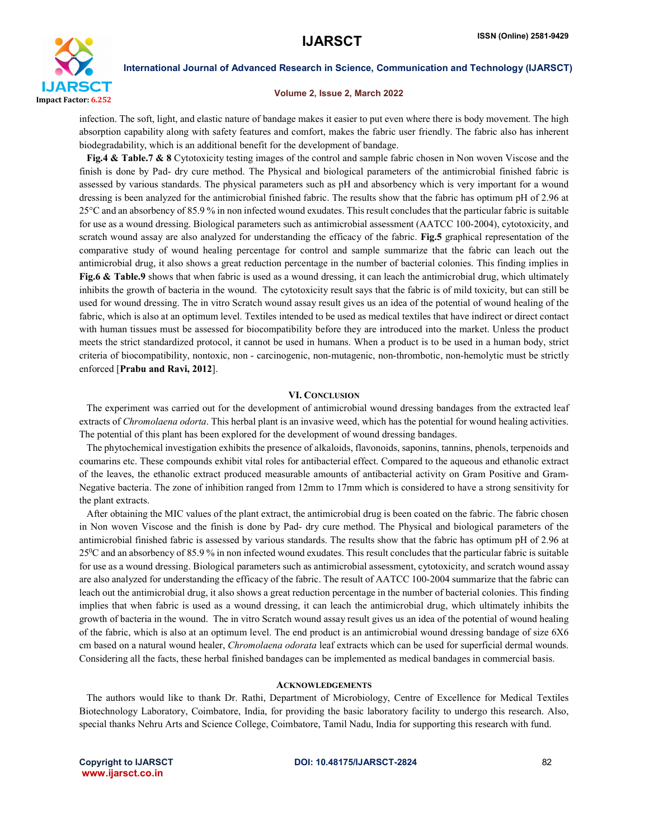

#### Volume 2, Issue 2, March 2022

infection. The soft, light, and elastic nature of bandage makes it easier to put even where there is body movement. The high absorption capability along with safety features and comfort, makes the fabric user friendly. The fabric also has inherent biodegradability, which is an additional benefit for the development of bandage.

 Fig.4 & Table.7 & 8 Cytotoxicity testing images of the control and sample fabric chosen in Non woven Viscose and the finish is done by Pad- dry cure method. The Physical and biological parameters of the antimicrobial finished fabric is assessed by various standards. The physical parameters such as pH and absorbency which is very important for a wound dressing is been analyzed for the antimicrobial finished fabric. The results show that the fabric has optimum pH of 2.96 at 25°C and an absorbency of 85.9 % in non infected wound exudates. This result concludes that the particular fabric is suitable for use as a wound dressing. Biological parameters such as antimicrobial assessment (AATCC 100-2004), cytotoxicity, and scratch wound assay are also analyzed for understanding the efficacy of the fabric. Fig.5 graphical representation of the comparative study of wound healing percentage for control and sample summarize that the fabric can leach out the antimicrobial drug, it also shows a great reduction percentage in the number of bacterial colonies. This finding implies in Fig.6 & Table.9 shows that when fabric is used as a wound dressing, it can leach the antimicrobial drug, which ultimately inhibits the growth of bacteria in the wound. The cytotoxicity result says that the fabric is of mild toxicity, but can still be used for wound dressing. The in vitro Scratch wound assay result gives us an idea of the potential of wound healing of the fabric, which is also at an optimum level. Textiles intended to be used as medical textiles that have indirect or direct contact with human tissues must be assessed for biocompatibility before they are introduced into the market. Unless the product meets the strict standardized protocol, it cannot be used in humans. When a product is to be used in a human body, strict criteria of biocompatibility, nontoxic, non - carcinogenic, non-mutagenic, non-thrombotic, non-hemolytic must be strictly enforced [Prabu and Ravi, 2012].

# VI. CONCLUSION

 The experiment was carried out for the development of antimicrobial wound dressing bandages from the extracted leaf extracts of *Chromolaena odorta*. This herbal plant is an invasive weed, which has the potential for wound healing activities. The potential of this plant has been explored for the development of wound dressing bandages.

 The phytochemical investigation exhibits the presence of alkaloids, flavonoids, saponins, tannins, phenols, terpenoids and coumarins etc. These compounds exhibit vital roles for antibacterial effect. Compared to the aqueous and ethanolic extract of the leaves, the ethanolic extract produced measurable amounts of antibacterial activity on Gram Positive and Gram-Negative bacteria. The zone of inhibition ranged from 12mm to 17mm which is considered to have a strong sensitivity for the plant extracts.

 After obtaining the MIC values of the plant extract, the antimicrobial drug is been coated on the fabric. The fabric chosen in Non woven Viscose and the finish is done by Pad- dry cure method. The Physical and biological parameters of the antimicrobial finished fabric is assessed by various standards. The results show that the fabric has optimum pH of 2.96 at 250 C and an absorbency of 85.9 % in non infected wound exudates. This result concludes that the particular fabric is suitable for use as a wound dressing. Biological parameters such as antimicrobial assessment, cytotoxicity, and scratch wound assay are also analyzed for understanding the efficacy of the fabric. The result of AATCC 100-2004 summarize that the fabric can leach out the antimicrobial drug, it also shows a great reduction percentage in the number of bacterial colonies. This finding implies that when fabric is used as a wound dressing, it can leach the antimicrobial drug, which ultimately inhibits the growth of bacteria in the wound. The in vitro Scratch wound assay result gives us an idea of the potential of wound healing of the fabric, which is also at an optimum level. The end product is an antimicrobial wound dressing bandage of size 6X6 cm based on a natural wound healer, *Chromolaena odorata* leaf extracts which can be used for superficial dermal wounds. Considering all the facts, these herbal finished bandages can be implemented as medical bandages in commercial basis.

#### ACKNOWLEDGEMENTS

 The authors would like to thank Dr. Rathi, Department of Microbiology, Centre of Excellence for Medical Textiles Biotechnology Laboratory, Coimbatore, India, for providing the basic laboratory facility to undergo this research. Also, special thanks Nehru Arts and Science College, Coimbatore, Tamil Nadu, India for supporting this research with fund.